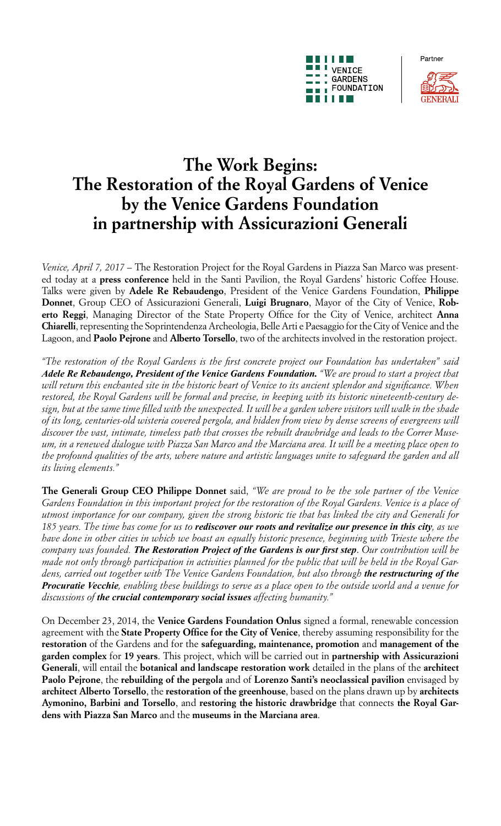



Partner

# **The Work Begins: The Restoration of the Royal Gardens of Venice by the Venice Gardens Foundation in partnership with Assicurazioni Generali**

*Venice, April 7, 2017 –* The Restoration Project for the Royal Gardens in Piazza San Marco was presented today at a **press conference** held in the Santi Pavilion, the Royal Gardens' historic Coffee House. Talks were given by **Adele Re Rebaudengo**, President of the Venice Gardens Foundation, **Philippe Donnet**, Group CEO of Assicurazioni Generali, **Luigi Brugnaro**, Mayor of the City of Venice, **Roberto Reggi**, Managing Director of the State Property Office for the City of Venice, architect **Anna Chiarelli**, representing the Soprintendenza Archeologia, Belle Arti e Paesaggio for the City of Venice and the Lagoon, and **Paolo Pejrone** and **Alberto Torsello**, two of the architects involved in the restoration project.

*"The restoration of the Royal Gardens is the first concrete project our Foundation has undertaken" said Adele Re Rebaudengo, President of the Venice Gardens Foundation. "We are proud to start a project that will return this enchanted site in the historic heart of Venice to its ancient splendor and significance. When restored, the Royal Gardens will be formal and precise, in keeping with its historic nineteenth-century design, but at the same time filled with the unexpected. It will be a garden where visitors will walk in the shade of its long, centuries-old wisteria covered pergola, and hidden from view by dense screens of evergreens will discover the vast, intimate, timeless path that crosses the rebuilt drawbridge and leads to the Correr Museum, in a renewed dialogue with Piazza San Marco and the Marciana area. It will be a meeting place open to the profound qualities of the arts, where nature and artistic languages unite to safeguard the garden and all its living elements."*

**The Generali Group CEO Philippe Donnet** said, *"We are proud to be the sole partner of the Venice Gardens Foundation in this important project for the restoration of the Royal Gardens. Venice is a place of utmost importance for our company, given the strong historic tie that has linked the city and Generali for 185 years. The time has come for us to rediscover our roots and revitalize our presence in this city, as we have done in other cities in which we boast an equally historic presence, beginning with Trieste where the company was founded. The Restoration Project of the Gardens is our first step*. *Our contribution will be made not only through participation in activities planned for the public that will be held in the Royal Gardens, carried out together with The Venice Gardens Foundation, but also through the restructuring of the Procuratie Vecchie, enabling these buildings to serve as a place open to the outside world and a venue for discussions of the crucial contemporary social issues affecting humanity."*

On December 23, 2014, the **Venice Gardens Foundation Onlus** signed a formal, renewable concession agreement with the **State Property Office for the City of Venice**, thereby assuming responsibility for the **restoration** of the Gardens and for the **safeguarding, maintenance, promotion** and **management of the garden complex** for **19 years**. This project, which will be carried out in **partnership with Assicurazioni Generali**, will entail the **botanical and landscape restoration work** detailed in the plans of the **architect Paolo Pejrone**, the **rebuilding of the pergola** and of **Lorenzo Santi's neoclassical pavilion** envisaged by **architect Alberto Torsello**, the **restoration of the greenhouse**, based on the plans drawn up by **architects Aymonino, Barbini and Torsello**, and **restoring the historic drawbridge** that connects **the Royal Gardens with Piazza San Marco** and the **museums in the Marciana area**.